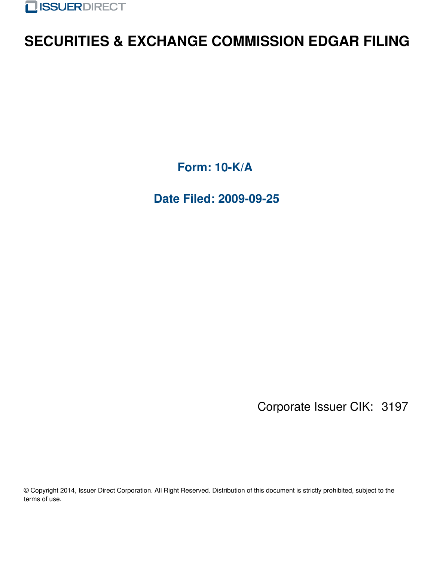

## **SECURITIES & EXCHANGE COMMISSION EDGAR FILING**

**Form: 10-K/A**

**Date Filed: 2009-09-25**

Corporate Issuer CIK: 3197

© Copyright 2014, Issuer Direct Corporation. All Right Reserved. Distribution of this document is strictly prohibited, subject to the terms of use.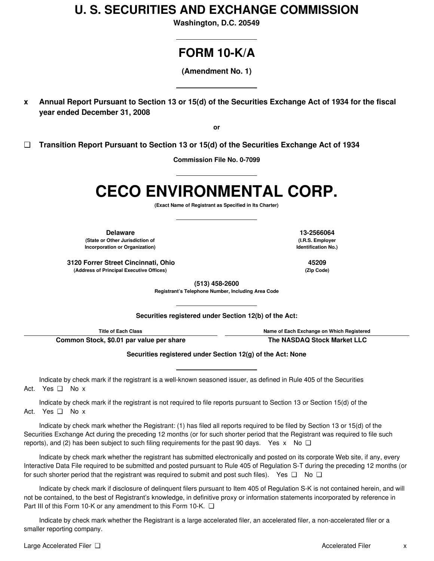### **U. S. SECURITIES AND EXCHANGE COMMISSION**

**Washington, D.C. 20549**

### **FORM 10-K/A**

**(Amendment No. 1)**

x Annual Report Pursuant to Section 13 or 15(d) of the Securities Exchange Act of 1934 for the fiscal **year ended December 31, 2008**

**or**

**❑ Transition Report Pursuant to Section 13 or 15(d) of the Securities Exchange Act of 1934**

**Commission File No. 0-7099**

# **CECO ENVIRONMENTAL CORP.**

**(Exact Name of Registrant as Specified in Its Charter)**

**Delaware 13-2566064 (State or Other Jurisdiction of Incorporation or Organization)**

**3120 Forrer Street Cincinnati, Ohio 45209 (Address of Principal Executive Offices) (Zip Code)**

**(I.R.S. Employer Identification No.)**

**(513) 458-2600**

**Registrant's Telephone Number, Including Area Code**

**Securities registered under Section 12(b) of the Act:**

**Title of Each Class Name of Each Exchange on Which Registered**

**Common Stock, \$0.01 par value per share The NASDAQ Stock Market LLC**

**Securities registered under Section 12(g) of the Act: None**

Indicate by check mark if the registrant is a well-known seasoned issuer, as defined in Rule 405 of the Securities Act. Yes ❑ No x

Indicate by check mark if the registrant is not required to file reports pursuant to Section 13 or Section 15(d) of the Act. Yes ❑ No x

Indicate by check mark whether the Registrant: (1) has filed all reports required to be filed by Section 13 or 15(d) of the Securities Exchange Act during the preceding 12 months (or for such shorter period that the Registrant was required to file such reports), and (2) has been subject to such filing requirements for the past 90 days. Yes x No  $\square$ 

Indicate by check mark whether the registrant has submitted electronically and posted on its corporate Web site, if any, every Interactive Data File required to be submitted and posted pursuant to Rule 405 of Regulation S-T during the preceding 12 months (or for such shorter period that the registrant was required to submit and post such files). Yes  $\square$  No  $\square$ 

Indicate by check mark if disclosure of delinquent filers pursuant to Item 405 of Regulation S-K is not contained herein, and will not be contained, to the best of Registrant's knowledge, in definitive proxy or information statements incorporated by reference in Part III of this Form 10-K or any amendment to this Form 10-K. ❑

Indicate by check mark whether the Registrant is a large accelerated filer, an accelerated filer, a non-accelerated filer or a smaller reporting company.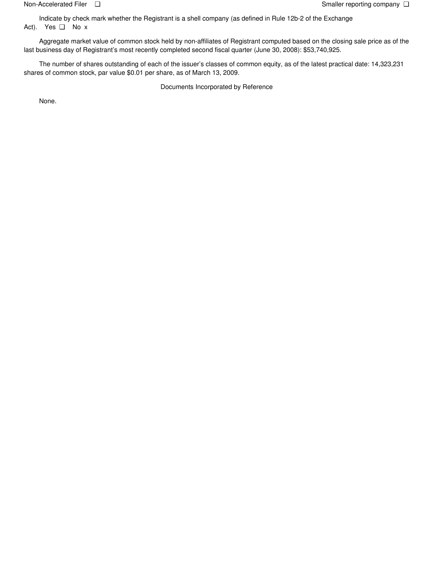Indicate by check mark whether the Registrant is a shell company (as defined in Rule 12b-2 of the Exchange Act). Yes ❑ No x

Aggregate market value of common stock held by non-affiliates of Registrant computed based on the closing sale price as of the last business day of Registrant's most recently completed second fiscal quarter (June 30, 2008): \$53,740,925.

The number of shares outstanding of each of the issuer's classes of common equity, as of the latest practical date: 14,323,231 shares of common stock, par value \$0.01 per share, as of March 13, 2009.

Documents Incorporated by Reference

None.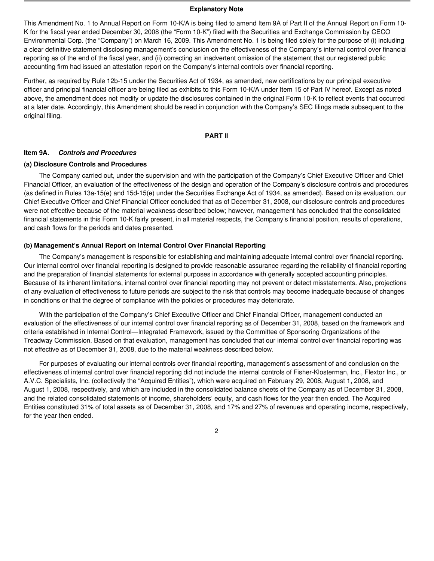#### **Explanatory Note**

This Amendment No. 1 to Annual Report on Form 10-K/A is being filed to amend Item 9A of Part II of the Annual Report on Form 10- K for the fiscal year ended December 30, 2008 (the "Form 10-K") filed with the Securities and Exchange Commission by CECO Environmental Corp. (the "Company") on March 16, 2009. This Amendment No. 1 is being filed solely for the purpose of (i) including a clear definitive statement disclosing management's conclusion on the effectiveness of the Company's internal control over financial reporting as of the end of the fiscal year, and (ii) correcting an inadvertent omission of the statement that our registered public accounting firm had issued an attestation report on the Company's internal controls over financial reporting.

Further, as required by Rule 12b-15 under the Securities Act of 1934, as amended, new certifications by our principal executive officer and principal financial officer are being filed as exhibits to this Form 10-K/A under Item 15 of Part IV hereof. Except as noted above, the amendment does not modify or update the disclosures contained in the original Form 10-K to reflect events that occurred at a later date. Accordingly, this Amendment should be read in conjunction with the Company's SEC filings made subsequent to the original filing.

#### **PART II**

#### **Item 9A.** *Controls and Procedures*

#### **(a) Disclosure Controls and Procedures**

The Company carried out, under the supervision and with the participation of the Company's Chief Executive Officer and Chief Financial Officer, an evaluation of the effectiveness of the design and operation of the Company's disclosure controls and procedures (as defined in Rules 13a-15(e) and 15d-15(e) under the Securities Exchange Act of 1934, as amended). Based on its evaluation, our Chief Executive Officer and Chief Financial Officer concluded that as of December 31, 2008, our disclosure controls and procedures were not effective because of the material weakness described below; however, management has concluded that the consolidated financial statements in this Form 10-K fairly present, in all material respects, the Company's financial position, results of operations, and cash flows for the periods and dates presented.

#### **(b) Management's Annual Report on Internal Control Over Financial Reporting**

The Company's management is responsible for establishing and maintaining adequate internal control over financial reporting. Our internal control over financial reporting is designed to provide reasonable assurance regarding the reliability of financial reporting and the preparation of financial statements for external purposes in accordance with generally accepted accounting principles. Because of its inherent limitations, internal control over financial reporting may not prevent or detect misstatements. Also, projections of any evaluation of effectiveness to future periods are subject to the risk that controls may become inadequate because of changes in conditions or that the degree of compliance with the policies or procedures may deteriorate.

With the participation of the Company's Chief Executive Officer and Chief Financial Officer, management conducted an evaluation of the effectiveness of our internal control over financial reporting as of December 31, 2008, based on the framework and criteria established in Internal Control—Integrated Framework, issued by the Committee of Sponsoring Organizations of the Treadway Commission. Based on that evaluation, management has concluded that our internal control over financial reporting was not effective as of December 31, 2008, due to the material weakness described below.

For purposes of evaluating our internal controls over financial reporting, management's assessment of and conclusion on the effectiveness of internal control over financial reporting did not include the internal controls of Fisher-Klosterman, Inc., Flextor Inc., or A.V.C. Specialists, Inc. (collectively the "Acquired Entities"), which were acquired on February 29, 2008, August 1, 2008, and August 1, 2008, respectively, and which are included in the consolidated balance sheets of the Company as of December 31, 2008, and the related consolidated statements of income, shareholders' equity, and cash flows for the year then ended. The Acquired Entities constituted 31% of total assets as of December 31, 2008, and 17% and 27% of revenues and operating income, respectively, for the year then ended.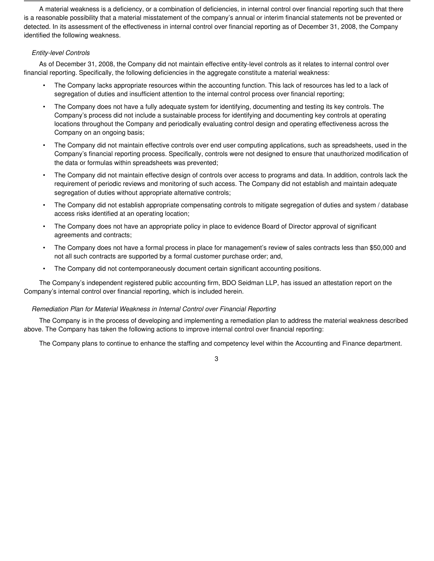A material weakness is a deficiency, or a combination of deficiencies, in internal control over financial reporting such that there is a reasonable possibility that a material misstatement of the company's annual or interim financial statements not be prevented or detected. In its assessment of the effectiveness in internal control over financial reporting as of December 31, 2008, the Company identified the following weakness.

#### *Entity-level Controls*

As of December 31, 2008, the Company did not maintain effective entity-level controls as it relates to internal control over financial reporting. Specifically, the following deficiencies in the aggregate constitute a material weakness:

- The Company lacks appropriate resources within the accounting function. This lack of resources has led to a lack of segregation of duties and insufficient attention to the internal control process over financial reporting;
- The Company does not have a fully adequate system for identifying, documenting and testing its key controls. The Company's process did not include a sustainable process for identifying and documenting key controls at operating locations throughout the Company and periodically evaluating control design and operating effectiveness across the Company on an ongoing basis;
- The Company did not maintain effective controls over end user computing applications, such as spreadsheets, used in the Company's financial reporting process. Specifically, controls were not designed to ensure that unauthorized modification of the data or formulas within spreadsheets was prevented;
- The Company did not maintain effective design of controls over access to programs and data. In addition, controls lack the requirement of periodic reviews and monitoring of such access. The Company did not establish and maintain adequate segregation of duties without appropriate alternative controls;
- The Company did not establish appropriate compensating controls to mitigate segregation of duties and system / database access risks identified at an operating location;
- The Company does not have an appropriate policy in place to evidence Board of Director approval of significant agreements and contracts;
- The Company does not have a formal process in place for management's review of sales contracts less than \$50,000 and not all such contracts are supported by a formal customer purchase order; and,
- The Company did not contemporaneously document certain significant accounting positions.

The Company's independent registered public accounting firm, BDO Seidman LLP, has issued an attestation report on the Company's internal control over financial reporting, which is included herein.

#### *Remediation Plan for Material Weakness in Internal Control over Financial Reporting*

The Company is in the process of developing and implementing a remediation plan to address the material weakness described above. The Company has taken the following actions to improve internal control over financial reporting:

The Company plans to continue to enhance the staffing and competency level within the Accounting and Finance department.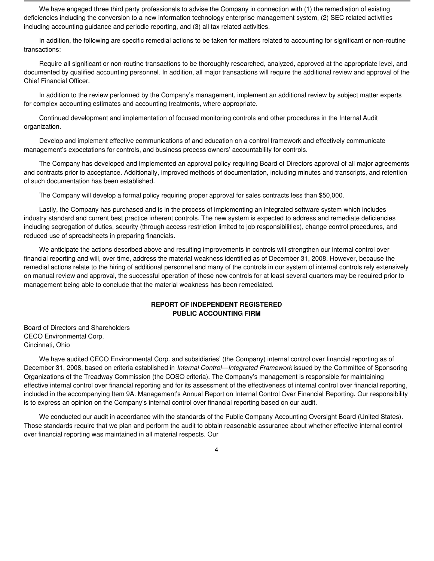We have engaged three third party professionals to advise the Company in connection with (1) the remediation of existing deficiencies including the conversion to a new information technology enterprise management system, (2) SEC related activities including accounting guidance and periodic reporting, and (3) all tax related activities.

In addition, the following are specific remedial actions to be taken for matters related to accounting for significant or non-routine transactions:

Require all significant or non-routine transactions to be thoroughly researched, analyzed, approved at the appropriate level, and documented by qualified accounting personnel. In addition, all major transactions will require the additional review and approval of the Chief Financial Officer.

In addition to the review performed by the Company's management, implement an additional review by subject matter experts for complex accounting estimates and accounting treatments, where appropriate.

Continued development and implementation of focused monitoring controls and other procedures in the Internal Audit organization.

Develop and implement effective communications of and education on a control framework and effectively communicate management's expectations for controls, and business process owners' accountability for controls.

The Company has developed and implemented an approval policy requiring Board of Directors approval of all major agreements and contracts prior to acceptance. Additionally, improved methods of documentation, including minutes and transcripts, and retention of such documentation has been established.

The Company will develop a formal policy requiring proper approval for sales contracts less than \$50,000.

Lastly, the Company has purchased and is in the process of implementing an integrated software system which includes industry standard and current best practice inherent controls. The new system is expected to address and remediate deficiencies including segregation of duties, security (through access restriction limited to job responsibilities), change control procedures, and reduced use of spreadsheets in preparing financials.

We anticipate the actions described above and resulting improvements in controls will strengthen our internal control over financial reporting and will, over time, address the material weakness identified as of December 31, 2008. However, because the remedial actions relate to the hiring of additional personnel and many of the controls in our system of internal controls rely extensively on manual review and approval, the successful operation of these new controls for at least several quarters may be required prior to management being able to conclude that the material weakness has been remediated.

#### **REPORT OF INDEPENDENT REGISTERED PUBLIC ACCOUNTING FIRM**

Board of Directors and Shareholders CECO Environmental Corp. Cincinnati, Ohio

We have audited CECO Environmental Corp. and subsidiaries' (the Company) internal control over financial reporting as of December 31, 2008, based on criteria established in *Internal Control—Integrated Framework* issued by the Committee of Sponsoring Organizations of the Treadway Commission (the COSO criteria). The Company's management is responsible for maintaining effective internal control over financial reporting and for its assessment of the effectiveness of internal control over financial reporting, included in the accompanying Item 9A. Management's Annual Report on Internal Control Over Financial Reporting. Our responsibility is to express an opinion on the Company's internal control over financial reporting based on our audit.

We conducted our audit in accordance with the standards of the Public Company Accounting Oversight Board (United States). Those standards require that we plan and perform the audit to obtain reasonable assurance about whether effective internal control over financial reporting was maintained in all material respects. Our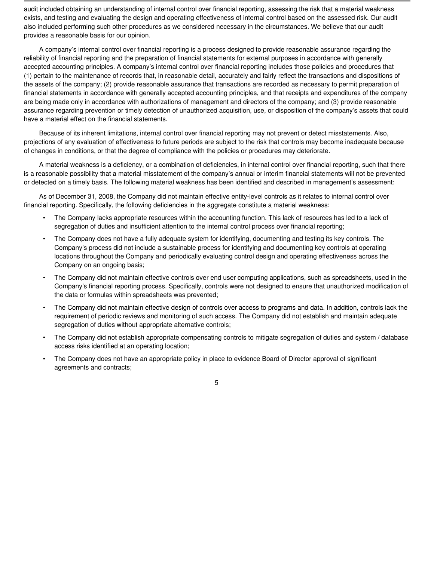audit included obtaining an understanding of internal control over financial reporting, assessing the risk that a material weakness exists, and testing and evaluating the design and operating effectiveness of internal control based on the assessed risk. Our audit also included performing such other procedures as we considered necessary in the circumstances. We believe that our audit provides a reasonable basis for our opinion.

A company's internal control over financial reporting is a process designed to provide reasonable assurance regarding the reliability of financial reporting and the preparation of financial statements for external purposes in accordance with generally accepted accounting principles. A company's internal control over financial reporting includes those policies and procedures that (1) pertain to the maintenance of records that, in reasonable detail, accurately and fairly reflect the transactions and dispositions of the assets of the company; (2) provide reasonable assurance that transactions are recorded as necessary to permit preparation of financial statements in accordance with generally accepted accounting principles, and that receipts and expenditures of the company are being made only in accordance with authorizations of management and directors of the company; and (3) provide reasonable assurance regarding prevention or timely detection of unauthorized acquisition, use, or disposition of the company's assets that could have a material effect on the financial statements.

Because of its inherent limitations, internal control over financial reporting may not prevent or detect misstatements. Also, projections of any evaluation of effectiveness to future periods are subject to the risk that controls may become inadequate because of changes in conditions, or that the degree of compliance with the policies or procedures may deteriorate.

A material weakness is a deficiency, or a combination of deficiencies, in internal control over financial reporting, such that there is a reasonable possibility that a material misstatement of the company's annual or interim financial statements will not be prevented or detected on a timely basis. The following material weakness has been identified and described in management's assessment:

As of December 31, 2008, the Company did not maintain effective entity-level controls as it relates to internal control over financial reporting. Specifically, the following deficiencies in the aggregate constitute a material weakness:

- The Company lacks appropriate resources within the accounting function. This lack of resources has led to a lack of segregation of duties and insufficient attention to the internal control process over financial reporting;
- The Company does not have a fully adequate system for identifying, documenting and testing its key controls. The Company's process did not include a sustainable process for identifying and documenting key controls at operating locations throughout the Company and periodically evaluating control design and operating effectiveness across the Company on an ongoing basis;
- The Company did not maintain effective controls over end user computing applications, such as spreadsheets, used in the Company's financial reporting process. Specifically, controls were not designed to ensure that unauthorized modification of the data or formulas within spreadsheets was prevented;
- The Company did not maintain effective design of controls over access to programs and data. In addition, controls lack the requirement of periodic reviews and monitoring of such access. The Company did not establish and maintain adequate segregation of duties without appropriate alternative controls;
- The Company did not establish appropriate compensating controls to mitigate segregation of duties and system / database access risks identified at an operating location;
- The Company does not have an appropriate policy in place to evidence Board of Director approval of significant agreements and contracts;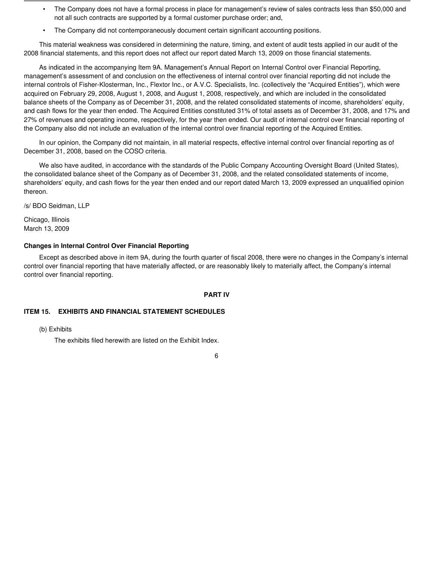- The Company does not have a formal process in place for management's review of sales contracts less than \$50,000 and not all such contracts are supported by a formal customer purchase order; and,
- The Company did not contemporaneously document certain significant accounting positions.

This material weakness was considered in determining the nature, timing, and extent of audit tests applied in our audit of the 2008 financial statements, and this report does not affect our report dated March 13, 2009 on those financial statements.

As indicated in the accompanying Item 9A. Management's Annual Report on Internal Control over Financial Reporting, management's assessment of and conclusion on the effectiveness of internal control over financial reporting did not include the internal controls of Fisher-Klosterman, Inc., Flextor Inc., or A.V.C. Specialists, Inc. (collectively the "Acquired Entities"), which were acquired on February 29, 2008, August 1, 2008, and August 1, 2008, respectively, and which are included in the consolidated balance sheets of the Company as of December 31, 2008, and the related consolidated statements of income, shareholders' equity, and cash flows for the year then ended. The Acquired Entities constituted 31% of total assets as of December 31, 2008, and 17% and 27% of revenues and operating income, respectively, for the year then ended. Our audit of internal control over financial reporting of the Company also did not include an evaluation of the internal control over financial reporting of the Acquired Entities.

In our opinion, the Company did not maintain, in all material respects, effective internal control over financial reporting as of December 31, 2008, based on the COSO criteria.

We also have audited, in accordance with the standards of the Public Company Accounting Oversight Board (United States), the consolidated balance sheet of the Company as of December 31, 2008, and the related consolidated statements of income, shareholders' equity, and cash flows for the year then ended and our report dated March 13, 2009 expressed an unqualified opinion thereon.

/s/ BDO Seidman, LLP

Chicago, Illinois March 13, 2009

#### **Changes in Internal Control Over Financial Reporting**

Except as described above in item 9A, during the fourth quarter of fiscal 2008, there were no changes in the Company's internal control over financial reporting that have materially affected, or are reasonably likely to materially affect, the Company's internal control over financial reporting.

#### **PART IV**

#### **ITEM 15. EXHIBITS AND FINANCIAL STATEMENT SCHEDULES**

(b) Exhibits

The exhibits filed herewith are listed on the Exhibit Index.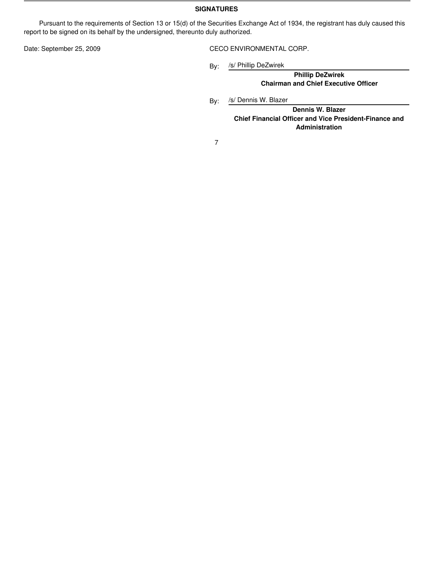#### **SIGNATURES**

Pursuant to the requirements of Section 13 or 15(d) of the Securities Exchange Act of 1934, the registrant has duly caused this report to be signed on its behalf by the undersigned, thereunto duly authorized.

Date: September 25, 2009 CECO ENVIRONMENTAL CORP.

By: /s/ Phillip DeZwirek

> **Phillip DeZwirek Chairman and Chief Executive Officer**

By: /s/ Dennis W. Blazer

**Dennis W. Blazer Chief Financial Officer and Vice President-Finance and Administration**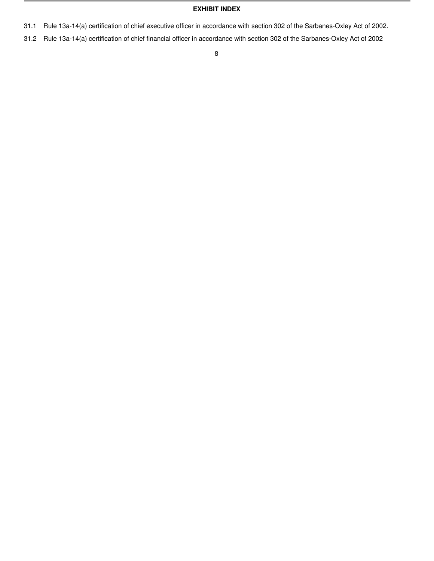#### **EXHIBIT INDEX**

- 31.1 Rule 13a-14(a) certification of chief executive officer in accordance with section 302 of the Sarbanes-Oxley Act of 2002.
- 31.2 Rule 13a-14(a) certification of chief financial officer in accordance with section 302 of the Sarbanes-Oxley Act of 2002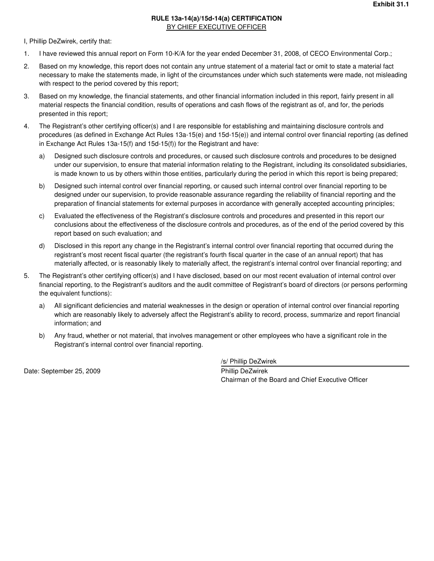#### **RULE 13a-14(a)/15d-14(a) CERTIFICATION BY CHIEF EXECUTIVE OFFICER**

I, Phillip DeZwirek, certify that:

- 1. I have reviewed this annual report on Form 10-K/A for the year ended December 31, 2008, of CECO Environmental Corp.;
- 2. Based on my knowledge, this report does not contain any untrue statement of a material fact or omit to state a material fact necessary to make the statements made, in light of the circumstances under which such statements were made, not misleading with respect to the period covered by this report;
- 3. Based on my knowledge, the financial statements, and other financial information included in this report, fairly present in all material respects the financial condition, results of operations and cash flows of the registrant as of, and for, the periods presented in this report;
- 4. The Registrant's other certifying officer(s) and I are responsible for establishing and maintaining disclosure controls and procedures (as defined in Exchange Act Rules 13a-15(e) and 15d-15(e)) and internal control over financial reporting (as defined in Exchange Act Rules 13a-15(f) and 15d-15(f)) for the Registrant and have:
	- a) Designed such disclosure controls and procedures, or caused such disclosure controls and procedures to be designed under our supervision, to ensure that material information relating to the Registrant, including its consolidated subsidiaries, is made known to us by others within those entities, particularly during the period in which this report is being prepared;
	- b) Designed such internal control over financial reporting, or caused such internal control over financial reporting to be designed under our supervision, to provide reasonable assurance regarding the reliability of financial reporting and the preparation of financial statements for external purposes in accordance with generally accepted accounting principles;
	- c) Evaluated the effectiveness of the Registrant's disclosure controls and procedures and presented in this report our conclusions about the effectiveness of the disclosure controls and procedures, as of the end of the period covered by this report based on such evaluation; and
	- d) Disclosed in this report any change in the Registrant's internal control over financial reporting that occurred during the registrant's most recent fiscal quarter (the registrant's fourth fiscal quarter in the case of an annual report) that has materially affected, or is reasonably likely to materially affect, the registrant's internal control over financial reporting; and
- 5. The Registrant's other certifying officer(s) and I have disclosed, based on our most recent evaluation of internal control over financial reporting, to the Registrant's auditors and the audit committee of Registrant's board of directors (or persons performing the equivalent functions):
	- a) All significant deficiencies and material weaknesses in the design or operation of internal control over financial reporting which are reasonably likely to adversely affect the Registrant's ability to record, process, summarize and report financial information; and
	- b) Any fraud, whether or not material, that involves management or other employees who have a significant role in the Registrant's internal control over financial reporting.

Date: September 25, 2009 Phillip DeZwirek

/s/ Phillip DeZwirek

Chairman of the Board and Chief Executive Officer